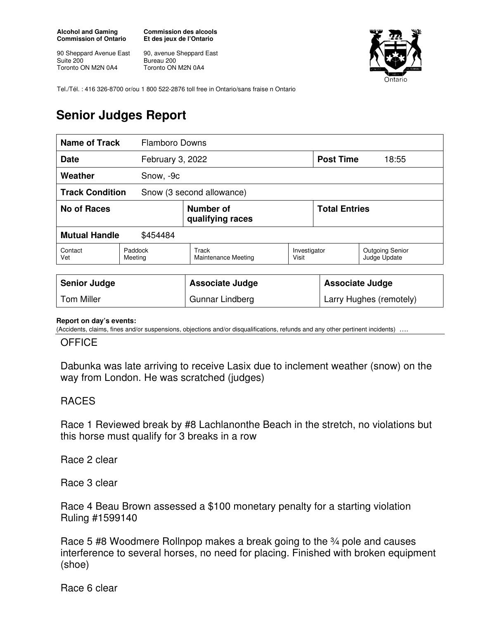**Alcohol and Gaming Commission of Ontario** 

90 Sheppard Avenue East Suite 200 Toronto ON M2N 0A4

**Commission des alcools Et des jeux de l'Ontario** 

90, avenue Sheppard East Bureau 200 Toronto ON M2N 0A4



Tel./Tél. : 416 326-8700 or/ou 1 800 522-2876 toll free in Ontario/sans fraise n Ontario

## **Senior Judges Report**

| <b>Name of Track</b>                                | <b>Flamboro Downs</b> |                               |                       |                        |                                        |  |
|-----------------------------------------------------|-----------------------|-------------------------------|-----------------------|------------------------|----------------------------------------|--|
| <b>Date</b>                                         | February 3, 2022      |                               |                       | <b>Post Time</b>       | 18:55                                  |  |
| Weather                                             | Snow, -9c             |                               |                       |                        |                                        |  |
| <b>Track Condition</b><br>Snow (3 second allowance) |                       |                               |                       |                        |                                        |  |
| No of Races                                         |                       | Number of<br>qualifying races |                       | <b>Total Entries</b>   |                                        |  |
| <b>Mutual Handle</b><br>\$454484                    |                       |                               |                       |                        |                                        |  |
| Contact<br>Vet                                      | Paddock<br>Meeting    | Track<br>Maintenance Meeting  | Investigator<br>Visit |                        | <b>Outgoing Senior</b><br>Judge Update |  |
|                                                     |                       |                               |                       |                        |                                        |  |
| <b>Senior Judge</b>                                 |                       | <b>Associate Judge</b>        |                       | <b>Associate Judge</b> |                                        |  |

## **Report on day's events:**

(Accidents, claims, fines and/or suspensions, objections and/or disqualifications, refunds and any other pertinent incidents)

Tom Miller **Community Cultum Cultum** Gunnar Lindberg **Larry Hughes (remotely)** 

## **OFFICE**

Dabunka was late arriving to receive Lasix due to inclement weather (snow) on the way from London. He was scratched (judges)

## RACES

Race 1 Reviewed break by #8 Lachlanonthe Beach in the stretch, no violations but this horse must qualify for 3 breaks in a row

Race 2 clear

Race 3 clear

Race 4 Beau Brown assessed a \$100 monetary penalty for a starting violation Ruling #1599140

Race 5 #8 Woodmere Rollnpop makes a break going to the 34 pole and causes interference to several horses, no need for placing. Finished with broken equipment (shoe)

Race 6 clear